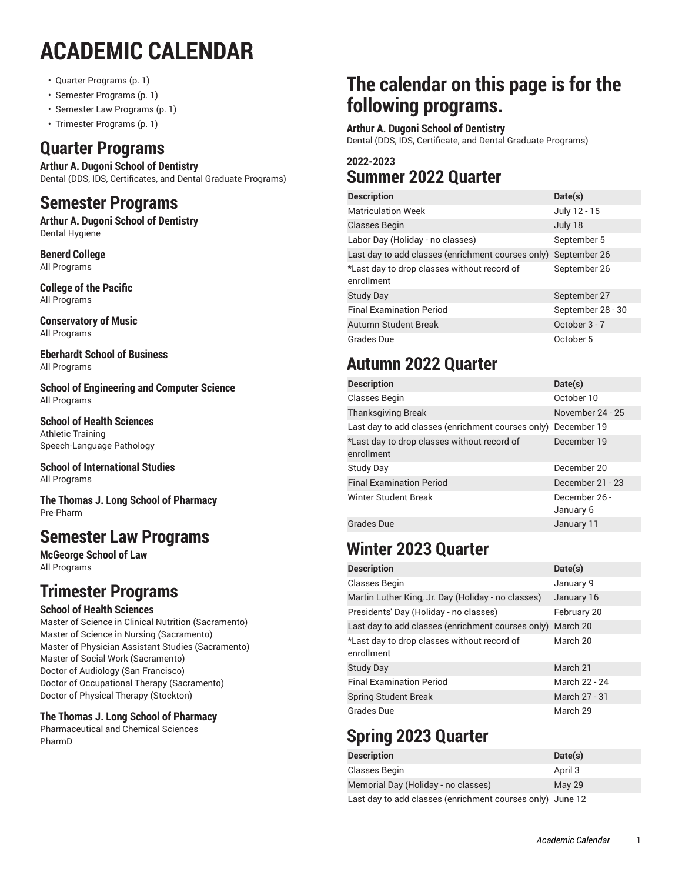# **ACADEMIC CALENDAR**

- Quarter [Programs](#page-0-0) ([p. 1\)](#page-0-0)
- Semester [Programs](#page-0-1) [\(p. 1](#page-0-1))
- Semester Law [Programs](#page-0-2) ([p. 1](#page-0-2))
- <span id="page-0-0"></span>• Trimester [Programs](#page-0-3) [\(p. 1](#page-0-3))

### **Quarter Programs**

**Arthur A. Dugoni School of Dentistry** Dental (DDS, IDS, Certificates, and Dental Graduate Programs)

### <span id="page-0-1"></span>**Semester Programs**

**Arthur A. Dugoni School of Dentistry** Dental Hygiene

**Benerd College** All Programs

**College of the Pacific** All Programs

**Conservatory of Music** All Programs

**Eberhardt School of Business** All Programs

**School of Engineering and Computer Science** All Programs

**School of Health Sciences** Athletic Training Speech-Language Pathology

**School of International Studies** All Programs

**The Thomas J. Long School of Pharmacy**  Pre-Pharm

### <span id="page-0-2"></span>**Semester Law Programs**

**McGeorge School of Law** All Programs

## <span id="page-0-3"></span>**Trimester Programs**

#### **School of Health Sciences**

Master of Science in Clinical Nutrition (Sacramento) Master of Science in Nursing (Sacramento) Master of Physician Assistant Studies (Sacramento) Master of Social Work (Sacramento) Doctor of Audiology (San Francisco) Doctor of Occupational Therapy (Sacramento) Doctor of Physical Therapy (Stockton)

### **The Thomas J. Long School of Pharmacy**

Pharmaceutical and Chemical Sciences PharmD

# **The calendar on this page is for the following programs.**

#### **Arthur A. Dugoni School of Dentistry**

Dental (DDS, IDS, Certificate, and Dental Graduate Programs)

### **2022-2023 Summer 2022 Quarter**

| <b>Description</b>                                        | Date(s)           |
|-----------------------------------------------------------|-------------------|
| <b>Matriculation Week</b>                                 | July 12 - 15      |
| <b>Classes Begin</b>                                      | July 18           |
| Labor Day (Holiday - no classes)                          | September 5       |
| Last day to add classes (enrichment courses only)         | September 26      |
| *Last day to drop classes without record of<br>enrollment | September 26      |
| <b>Study Day</b>                                          | September 27      |
| <b>Final Examination Period</b>                           | September 28 - 30 |
| Autumn Student Break                                      | October 3 - 7     |
| Grades Due                                                | October 5         |

### **Autumn 2022 Quarter**

| <b>Description</b>                                        | Date(s)                    |
|-----------------------------------------------------------|----------------------------|
| Classes Begin                                             | October 10                 |
| <b>Thanksgiving Break</b>                                 | November 24 - 25           |
| Last day to add classes (enrichment courses only)         | December 19                |
| *Last day to drop classes without record of<br>enrollment | December 19                |
| <b>Study Day</b>                                          | December 20                |
| <b>Final Examination Period</b>                           | December 21 - 23           |
| <b>Winter Student Break</b>                               | December 26 -<br>January 6 |
| Grades Due                                                | January 11                 |

### **Winter 2023 Quarter**

| <b>Description</b>                                        | Date(s)       |
|-----------------------------------------------------------|---------------|
| Classes Begin                                             | January 9     |
| Martin Luther King, Jr. Day (Holiday - no classes)        | January 16    |
| Presidents' Day (Holiday - no classes)                    | February 20   |
| Last day to add classes (enrichment courses only)         | March 20      |
| *Last day to drop classes without record of<br>enrollment | March 20      |
| <b>Study Day</b>                                          | March 21      |
| <b>Final Examination Period</b>                           | March 22 - 24 |
| <b>Spring Student Break</b>                               | March 27 - 31 |
| <b>Grades Due</b>                                         | March 29      |

# **Spring 2023 Quarter**

| <b>Description</b>                                                                                                                                                                | Date(s) |
|-----------------------------------------------------------------------------------------------------------------------------------------------------------------------------------|---------|
| Classes Begin                                                                                                                                                                     | April 3 |
| Memorial Day (Holiday - no classes)                                                                                                                                               | May 29  |
| $\mathbf{1}$ , $\mathbf{1}$ , $\mathbf{1}$ , $\mathbf{1}$ , $\mathbf{1}$ , $\mathbf{1}$ , $\mathbf{1}$ , $\mathbf{1}$ , $\mathbf{1}$ , $\mathbf{1}$ , $\mathbf{1}$ , $\mathbf{1}$ |         |

Last day to add classes (enrichment courses only) June 12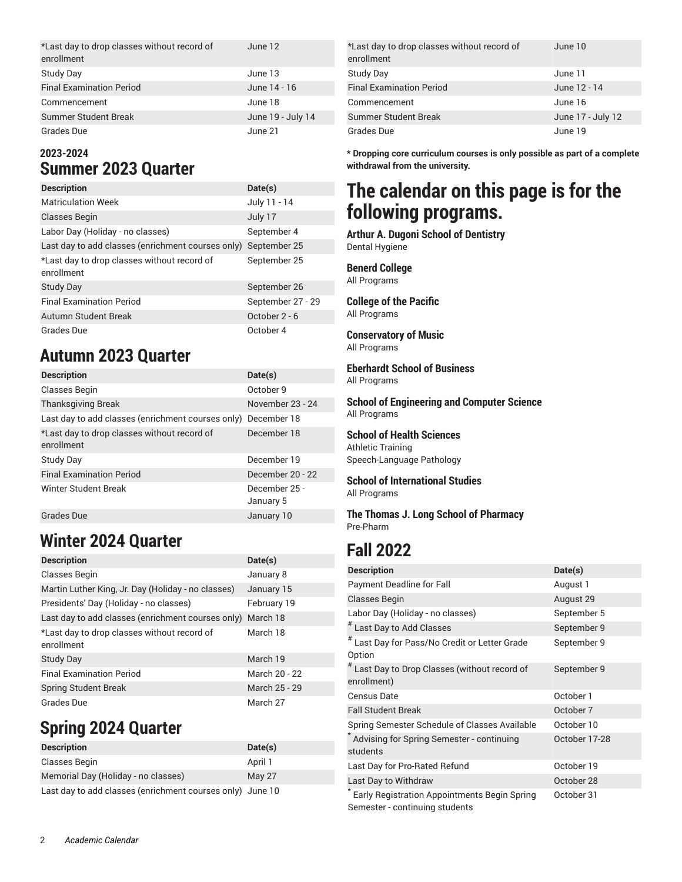| *Last day to drop classes without record of<br>enrollment | June 12           |
|-----------------------------------------------------------|-------------------|
| Study Day                                                 | June 13           |
| <b>Final Examination Period</b>                           | June 14 - 16      |
| Commencement                                              | June 18           |
| <b>Summer Student Break</b>                               | June 19 - July 14 |
| Grades Due                                                | June 21           |

### **2023-2024 Summer 2023 Quarter**

| <b>Description</b>                                        | Date(s)           |
|-----------------------------------------------------------|-------------------|
| <b>Matriculation Week</b>                                 | July 11 - 14      |
| <b>Classes Begin</b>                                      | July 17           |
| Labor Day (Holiday - no classes)                          | September 4       |
| Last day to add classes (enrichment courses only)         | September 25      |
| *Last day to drop classes without record of<br>enrollment | September 25      |
| <b>Study Day</b>                                          | September 26      |
| <b>Final Examination Period</b>                           | September 27 - 29 |
| Autumn Student Break                                      | October 2 - 6     |
| Grades Due                                                | October 4         |

### **Autumn 2023 Quarter**

| <b>Description</b>                                            | Date(s)                    |
|---------------------------------------------------------------|----------------------------|
| Classes Begin                                                 | October 9                  |
| <b>Thanksgiving Break</b>                                     | November 23 - 24           |
| Last day to add classes (enrichment courses only) December 18 |                            |
| *Last day to drop classes without record of<br>enrollment     | December 18                |
| <b>Study Day</b>                                              | December 19                |
| <b>Final Examination Period</b>                               | December 20 - 22           |
| Winter Student Break                                          | December 25 -<br>January 5 |
| Grades Due                                                    | January 10                 |

### **Winter 2024 Quarter**

| <b>Description</b>                                        | Date(s)       |
|-----------------------------------------------------------|---------------|
| Classes Begin                                             | January 8     |
| Martin Luther King, Jr. Day (Holiday - no classes)        | January 15    |
| Presidents' Day (Holiday - no classes)                    | February 19   |
| Last day to add classes (enrichment courses only)         | March 18      |
| *Last day to drop classes without record of<br>enrollment | March 18      |
| <b>Study Day</b>                                          | March 19      |
| <b>Final Examination Period</b>                           | March 20 - 22 |
| <b>Spring Student Break</b>                               | March 25 - 29 |
| Grades Due                                                | March 27      |

### **Spring 2024 Quarter**

| <b>Description</b>                  | Date(s) |  |
|-------------------------------------|---------|--|
| Classes Begin                       | April 1 |  |
| Memorial Day (Holiday - no classes) | May 27  |  |
| .                                   |         |  |

Last day to add classes (enrichment courses only) June 10

| *Last day to drop classes without record of<br>enrollment | June 10           |
|-----------------------------------------------------------|-------------------|
| Study Day                                                 | June 11           |
| <b>Final Examination Period</b>                           | June 12 - 14      |
| Commencement                                              | June 16           |
| <b>Summer Student Break</b>                               | June 17 - July 12 |
| Grades Due                                                | June 19           |

**\* Dropping core curriculum courses is only possible as part of a complete withdrawal from the university.**

## **The calendar on this page is for the following programs.**

**Arthur A. Dugoni School of Dentistry** Dental Hygiene

### **Benerd College**

All Programs

#### **College of the Pacific** All Programs

**Conservatory of Music** All Programs

**Eberhardt School of Business** All Programs

**School of Engineering and Computer Science** All Programs

**School of Health Sciences**

Athletic Training Speech-Language Pathology

**School of International Studies** All Programs

**The Thomas J. Long School of Pharmacy** Pre-Pharm

### **Fall 2022**

| <b>Description</b>                                                             | Date(s)       |
|--------------------------------------------------------------------------------|---------------|
| <b>Payment Deadline for Fall</b>                                               | August 1      |
| <b>Classes Begin</b>                                                           | August 29     |
| Labor Day (Holiday - no classes)                                               | September 5   |
| # Last Day to Add Classes                                                      | September 9   |
| # Last Day for Pass/No Credit or Letter Grade<br>Option                        | September 9   |
| # Last Day to Drop Classes (without record of<br>enrollment)                   | September 9   |
| Census Date                                                                    | October 1     |
| <b>Fall Student Break</b>                                                      | October 7     |
| Spring Semester Schedule of Classes Available                                  | October 10    |
| Advising for Spring Semester - continuing<br>students                          | October 17-28 |
| Last Day for Pro-Rated Refund                                                  | October 19    |
| Last Day to Withdraw                                                           | October 28    |
| Early Registration Appointments Begin Spring<br>Semester - continuing students | October 31    |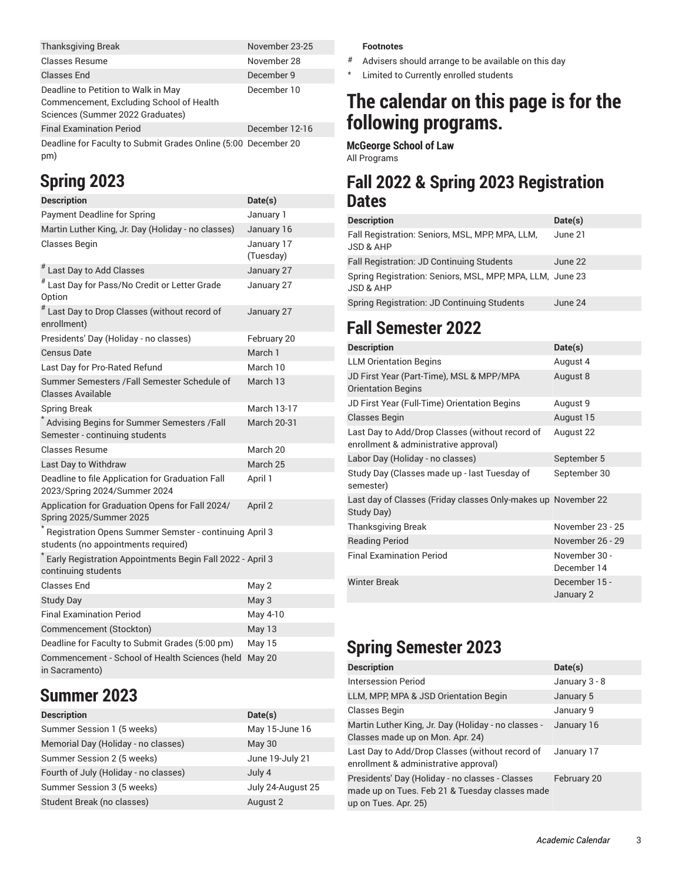| <b>Thanksgiving Break</b>                                      | November 23-25 |
|----------------------------------------------------------------|----------------|
| <b>Classes Resume</b>                                          | November 28    |
| <b>Classes End</b>                                             | December 9     |
| Deadline to Petition to Walk in May                            | December 10    |
| Commencement, Excluding School of Health                       |                |
| Sciences (Summer 2022 Graduates)                               |                |
| <b>Final Examination Period</b>                                | December 12-16 |
| Deadline for Faculty to Submit Grades Opline (5:00 December 20 |                |

Deadline for Faculty to Submit Grades Online (5:00 December 20 pm)

### **Spring 2023**

| <b>Description</b>                                                                            | Date(s)                 |
|-----------------------------------------------------------------------------------------------|-------------------------|
| <b>Payment Deadline for Spring</b>                                                            | January 1               |
| Martin Luther King, Jr. Day (Holiday - no classes)                                            | January 16              |
| <b>Classes Begin</b>                                                                          | January 17<br>(Tuesday) |
| # Last Day to Add Classes                                                                     | January 27              |
| # Last Day for Pass/No Credit or Letter Grade<br>Option                                       | January 27              |
| $^{\#}$ Last Day to Drop Classes (without record of<br>enrollment)                            | January 27              |
| Presidents' Day (Holiday - no classes)                                                        | February 20             |
| <b>Census Date</b>                                                                            | March 1                 |
| Last Day for Pro-Rated Refund                                                                 | March 10                |
| Summer Semesters / Fall Semester Schedule of<br>Classes Available                             | March 13                |
| <b>Spring Break</b>                                                                           | <b>March 13-17</b>      |
| * Advising Begins for Summer Semesters /Fall<br>Semester - continuing students                | March 20-31             |
| Classes Resume                                                                                | March 20                |
| Last Day to Withdraw                                                                          | March 25                |
| Deadline to file Application for Graduation Fall<br>2023/Spring 2024/Summer 2024              | April 1                 |
| Application for Graduation Opens for Fall 2024/<br>Spring 2025/Summer 2025                    | April 2                 |
| Registration Opens Summer Semster - continuing April 3<br>students (no appointments required) |                         |
| Early Registration Appointments Begin Fall 2022 - April 3<br>continuing students              |                         |
| <b>Classes End</b>                                                                            | May 2                   |
| <b>Study Day</b>                                                                              | May 3                   |
| <b>Final Examination Period</b>                                                               | May 4-10                |
| Commencement (Stockton)                                                                       | May 13                  |
| Deadline for Faculty to Submit Grades (5:00 pm)                                               | <b>May 15</b>           |
| Commencement - School of Health Sciences (held<br>in Sacramento)                              | <b>May 20</b>           |

### **Summer 2023**

| <b>Description</b>                    | Date(s)           |
|---------------------------------------|-------------------|
| Summer Session 1 (5 weeks)            | May 15-June 16    |
| Memorial Day (Holiday - no classes)   | <b>May 30</b>     |
| Summer Session 2 (5 weeks)            | June 19-July 21   |
| Fourth of July (Holiday - no classes) | July 4            |
| Summer Session 3 (5 weeks)            | July 24-August 25 |
| Student Break (no classes)            | August 2          |

#### **Footnotes**

- # Advisers should arrange to be available on this day
- \* Limited to Currently enrolled students

### **The calendar on this page is for the following programs.**

**McGeorge School of Law** All Programs

### **Fall 2022 & Spring 2023 Registration Dates**

| <b>Description</b>                                                                | Date(s) |
|-----------------------------------------------------------------------------------|---------|
| Fall Registration: Seniors, MSL, MPP, MPA, LLM,<br><b>JSD &amp; AHP</b>           | June 21 |
| Fall Registration: JD Continuing Students                                         | June 22 |
| Spring Registration: Seniors, MSL, MPP, MPA, LLM, June 23<br><b>JSD &amp; AHP</b> |         |
| Spring Registration: JD Continuing Students                                       | June 24 |

### **Fall Semester 2022**

| <b>Description</b>                                                                       | Date(s)                      |
|------------------------------------------------------------------------------------------|------------------------------|
| <b>LLM Orientation Begins</b>                                                            | August 4                     |
| JD First Year (Part-Time), MSL & MPP/MPA<br><b>Orientation Begins</b>                    | August 8                     |
| JD First Year (Full-Time) Orientation Begins                                             | August 9                     |
| <b>Classes Begin</b>                                                                     | August 15                    |
| Last Day to Add/Drop Classes (without record of<br>enrollment & administrative approval) | August 22                    |
| Labor Day (Holiday - no classes)                                                         | September 5                  |
| Study Day (Classes made up - last Tuesday of<br>semester)                                | September 30                 |
| Last day of Classes (Friday classes Only-makes up November 22<br>Study Day)              |                              |
| <b>Thanksgiving Break</b>                                                                | November 23 - 25             |
| <b>Reading Period</b>                                                                    | November 26 - 29             |
| <b>Final Examination Period</b>                                                          | November 30 -<br>December 14 |
| <b>Winter Break</b>                                                                      | December 15 -<br>January 2   |

## **Spring Semester 2023**

| <b>Description</b>                                                                                                        | Date(s)       |
|---------------------------------------------------------------------------------------------------------------------------|---------------|
| Intersession Period                                                                                                       | January 3 - 8 |
| LLM, MPP, MPA & JSD Orientation Begin                                                                                     | January 5     |
| Classes Begin                                                                                                             | January 9     |
| Martin Luther King, Jr. Day (Holiday - no classes -<br>Classes made up on Mon. Apr. 24)                                   | January 16    |
| Last Day to Add/Drop Classes (without record of<br>enrollment & administrative approval)                                  | January 17    |
| Presidents' Day (Holiday - no classes - Classes<br>made up on Tues. Feb 21 & Tuesday classes made<br>up on Tues. Apr. 25) | February 20   |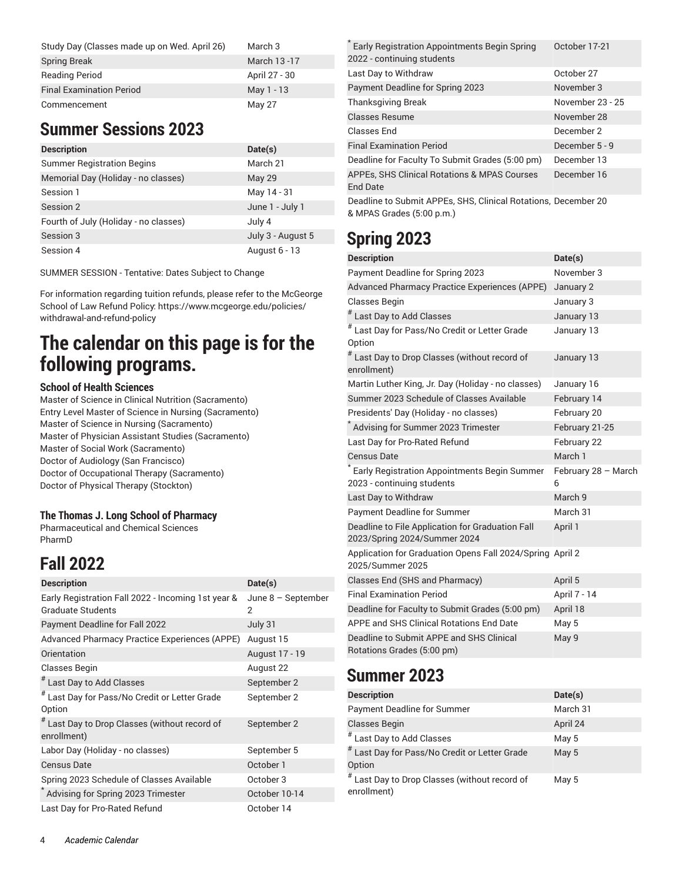| Study Day (Classes made up on Wed. April 26) | March 3       |
|----------------------------------------------|---------------|
| <b>Spring Break</b>                          | March 13-17   |
| <b>Reading Period</b>                        | April 27 - 30 |
| <b>Final Examination Period</b>              | May 1 - 13    |
| Commencement                                 | May 27        |

### **Summer Sessions 2023**

| <b>Description</b>                    | Date(s)           |
|---------------------------------------|-------------------|
| <b>Summer Registration Begins</b>     | March 21          |
| Memorial Day (Holiday - no classes)   | <b>May 29</b>     |
| Session 1                             | May 14 - 31       |
| Session 2                             | June 1 - July 1   |
| Fourth of July (Holiday - no classes) | July 4            |
| Session 3                             | July 3 - August 5 |
| Session 4                             | August 6 - 13     |

SUMMER SESSION - Tentative: Dates Subject to Change

For information regarding tuition refunds, please refer to the McGeorge School of Law Refund Policy: https://www.mcgeorge.edu/policies/ withdrawal-and-refund-policy

# **The calendar on this page is for the following programs.**

#### **School of Health Sciences**

Master of Science in Clinical Nutrition (Sacramento) Entry Level Master of Science in Nursing (Sacramento) Master of Science in Nursing (Sacramento) Master of Physician Assistant Studies (Sacramento) Master of Social Work (Sacramento) Doctor of Audiology (San Francisco) Doctor of Occupational Therapy (Sacramento) Doctor of Physical Therapy (Stockton)

#### **The Thomas J. Long School of Pharmacy**

Pharmaceutical and Chemical Sciences PharmD

### **Fall 2022**

| <b>Description</b>                                                             | Date(s)                   |
|--------------------------------------------------------------------------------|---------------------------|
| Early Registration Fall 2022 - Incoming 1st year &<br><b>Graduate Students</b> | June $8 -$ September<br>2 |
| Payment Deadline for Fall 2022                                                 | July 31                   |
| Advanced Pharmacy Practice Experiences (APPE)                                  | August 15                 |
| Orientation                                                                    | August 17 - 19            |
| <b>Classes Begin</b>                                                           | August 22                 |
| # Last Day to Add Classes                                                      | September 2               |
| # Last Day for Pass/No Credit or Letter Grade<br>Option                        | September 2               |
| # Last Day to Drop Classes (without record of<br>enrollment)                   | September 2               |
| Labor Day (Holiday - no classes)                                               | September 5               |
| <b>Census Date</b>                                                             | October 1                 |
| Spring 2023 Schedule of Classes Available                                      | October 3                 |
| Advising for Spring 2023 Trimester                                             | October 10-14             |
| Last Day for Pro-Rated Refund                                                  | October 14                |

| Early Registration Appointments Begin Spring<br>2022 - continuing students | October 17-21    |
|----------------------------------------------------------------------------|------------------|
| Last Day to Withdraw                                                       | October 27       |
| Payment Deadline for Spring 2023                                           | November 3       |
| <b>Thanksgiving Break</b>                                                  | November 23 - 25 |
| <b>Classes Resume</b>                                                      | November 28      |
| Classes End                                                                | December 2       |
| <b>Final Examination Period</b>                                            | December 5 - 9   |
| Deadline for Faculty To Submit Grades (5:00 pm)                            | December 13      |
| APPEs, SHS Clinical Rotations & MPAS Courses<br><b>End Date</b>            | December 16      |
| Deadline to Submit APPEs, SHS, Clinical Rotations, December 20             |                  |

**Spring 2023**

& MPAS Grades (5:00 p.m.)

| <b>Description</b>                                                               | Date(s)                  |
|----------------------------------------------------------------------------------|--------------------------|
| Payment Deadline for Spring 2023                                                 | November 3               |
| Advanced Pharmacy Practice Experiences (APPE)                                    | January 2                |
| <b>Classes Begin</b>                                                             | January 3                |
| $^{\#}$ Last Day to Add Classes                                                  | January 13               |
| #<br>Last Day for Pass/No Credit or Letter Grade<br>Option                       | January 13               |
| $^{\#}$ Last Day to Drop Classes (without record of<br>enrollment)               | January 13               |
| Martin Luther King, Jr. Day (Holiday - no classes)                               | January 16               |
| Summer 2023 Schedule of Classes Available                                        | February 14              |
| Presidents' Day (Holiday - no classes)                                           | February 20              |
| Advising for Summer 2023 Trimester                                               | February 21-25           |
| Last Day for Pro-Rated Refund                                                    | February 22              |
| <b>Census Date</b>                                                               | March 1                  |
| Early Registration Appointments Begin Summer<br>2023 - continuing students       | February 28 - March<br>6 |
| Last Day to Withdraw                                                             | March 9                  |
| <b>Payment Deadline for Summer</b>                                               | March 31                 |
| Deadline to File Application for Graduation Fall<br>2023/Spring 2024/Summer 2024 | April 1                  |
| Application for Graduation Opens Fall 2024/Spring April 2<br>2025/Summer 2025    |                          |
| Classes End (SHS and Pharmacy)                                                   | April 5                  |
| <b>Final Examination Period</b>                                                  | April 7 - 14             |
| Deadline for Faculty to Submit Grades (5:00 pm)                                  | April 18                 |
| APPE and SHS Clinical Rotations End Date                                         | May 5                    |
| Deadline to Submit APPE and SHS Clinical<br>Rotations Grades (5:00 pm)           | May 9                    |

### **Summer 2023**

| <b>Description</b>                                                 | Date(s)  |
|--------------------------------------------------------------------|----------|
| <b>Payment Deadline for Summer</b>                                 | March 31 |
| <b>Classes Begin</b>                                               | April 24 |
| $^{\#}$ Last Day to Add Classes                                    | May 5    |
| # Last Day for Pass/No Credit or Letter Grade<br>Option            | May 5    |
| $^{\#}$ Last Day to Drop Classes (without record of<br>enrollment) | May 5    |